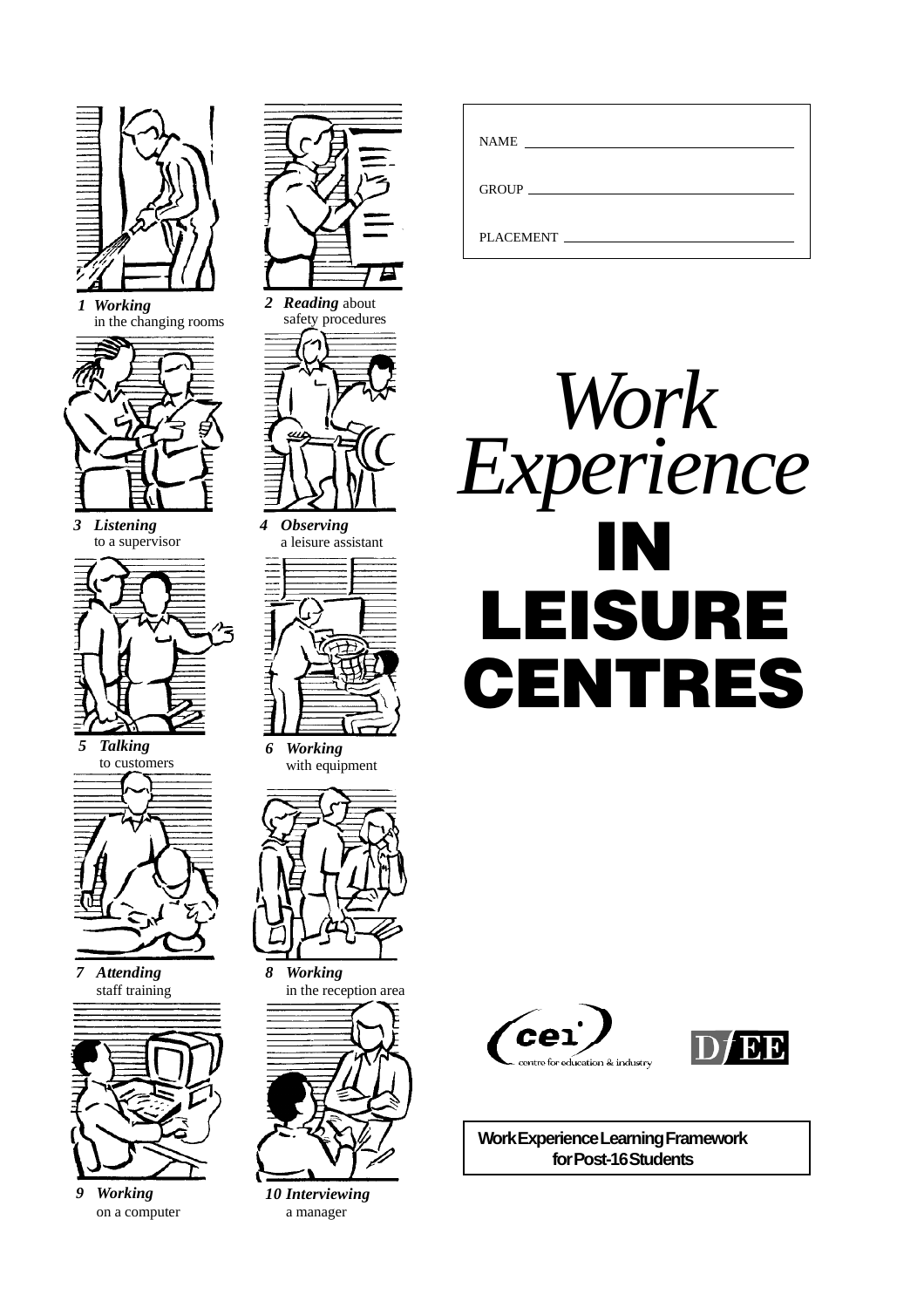

*1 Working* in the changing rooms



*3 Listening* to a supervisor



to customers



*7 Attending* staff training



*9 Working* on a computer





*4 Observing* a leisure assistant



*6 Working* with equipment



*8 Working* in the reception area



*10 Interviewing* a manager

| <b>NAME</b><br><u> 1989 - Jan Sterling Sterling (f. 1989)</u> |  |
|---------------------------------------------------------------|--|
| GROUP <b>CONTRACTES</b>                                       |  |
| PLACEMENT                                                     |  |







**Work Experience Learning Framework for Post-16 Students**